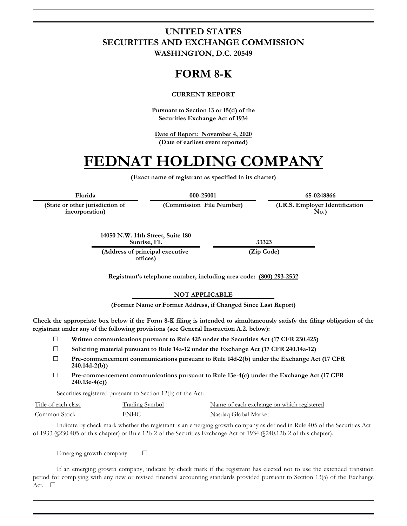# **UNITED STATES SECURITIES AND EXCHANGE COMMISSION WASHINGTON, D.C. 20549**

# **FORM 8-K**

### **CURRENT REPORT**

**Pursuant to Section 13 or 15(d) of the Securities Exchange Act of 1934**

**Date of Report: November 4, 2020 (Date of earliest event reported)**

# **FEDNAT HOLDING COMPANY**

**(Exact name of registrant as specified in its charter)**

**(State or other jurisdiction of** 

**incorporation)**

**Florida 000-25001 65-0248866**

**(Commission File Number) (I.R.S. Employer Identification No.)**

**14050 N.W. 14th Street, Suite 180 Sunrise, FL 33323**

**(Address of principal executive offices)**

**(Zip Code)**

**Registrant's telephone number, including area code: (800) 293-2532**

#### **NOT APPLICABLE**

**(Former Name or Former Address, if Changed Since Last Report)**

**Check the appropriate box below if the Form 8-K filing is intended to simultaneously satisfy the filing obligation of the registrant under any of the following provisions (see General Instruction A.2. below):**

☐ **Written communications pursuant to Rule 425 under the Securities Act (17 CFR 230.425)**

- ☐ **Soliciting material pursuant to Rule 14a-12 under the Exchange Act (17 CFR 240.14a-12)**
- ☐ **Pre-commencement communications pursuant to Rule 14d-2(b) under the Exchange Act (17 CFR 240.14d-2(b))**
- ☐ **Pre-commencement communications pursuant to Rule 13e-4(c) under the Exchange Act (17 CFR 240.13e-4(c))**

Securities registered pursuant to Section 12(b) of the Act:

| Title of each class | <b>Trading Symbol</b> | Name of each exchange on which registered |
|---------------------|-----------------------|-------------------------------------------|
| Common Stock        | FNHC                  | Nasdaq Global Market                      |

Indicate by check mark whether the registrant is an emerging growth company as defined in Rule 405 of the Securities Act of 1933 (§230.405 of this chapter) or Rule 12b-2 of the Securities Exchange Act of 1934 (§240.12b-2 of this chapter).

Emerging growth company  $\Box$ 

If an emerging growth company, indicate by check mark if the registrant has elected not to use the extended transition period for complying with any new or revised financial accounting standards provided pursuant to Section 13(a) of the Exchange Act.  $\square$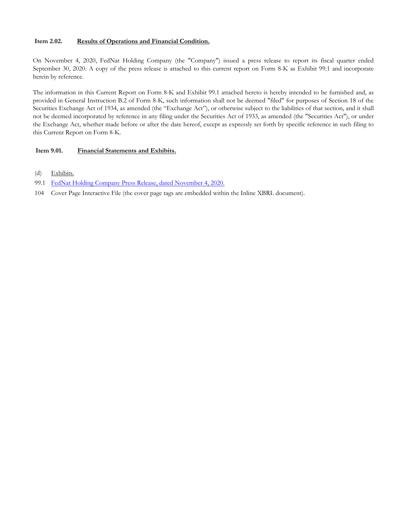#### **Item 2.02. Results of Operations and Financial Condition.**

On November 4, 2020, FedNat Holding Company (the "Company") issued a press release to report its fiscal quarter ended September 30, 2020. A copy of the press release is attached to this current report on Form 8-K as Exhibit 99.1 and incorporate herein by reference.

The information in this Current Report on Form 8-K and Exhibit 99.1 attached hereto is hereby intended to be furnished and, as provided in General Instruction B.2 of Form 8-K, such information shall not be deemed "filed" for purposes of Section 18 of the Securities Exchange Act of 1934, as amended (the "Exchange Act"), or otherwise subject to the liabilities of that section, and it shall not be deemed incorporated by reference in any filing under the Securities Act of 1933, as amended (the "Securities Act"), or under the Exchange Act, whether made before or after the date hereof, except as expressly set forth by specific reference in such filing to this Current Report on Form 8-K.

#### **Item 9.01. Financial Statements and Exhibits.**

- (d) Exhibits.
- 99.1 [FedNat Holding Company Press Release, dated November 4, 2020.](fnhcq3-2020pressrelease.htm)
- 104 Cover Page Interactive File (the cover page tags are embedded within the Inline XBRL document).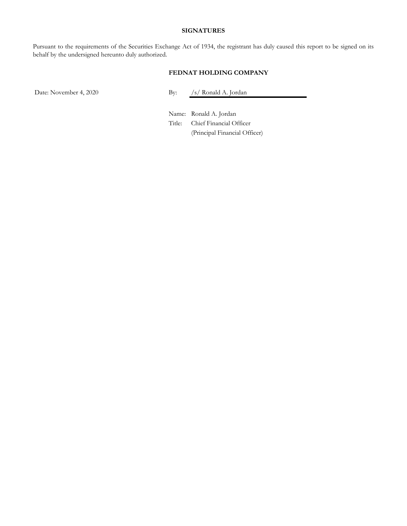#### **SIGNATURES**

Pursuant to the requirements of the Securities Exchange Act of 1934, the registrant has duly caused this report to be signed on its behalf by the undersigned hereunto duly authorized.

#### **FEDNAT HOLDING COMPANY**

Date: November 4, 2020 By: /s/ Ronald A. Jordan

Name: Ronald A. Jordan Title: Chief Financial Officer (Principal Financial Officer)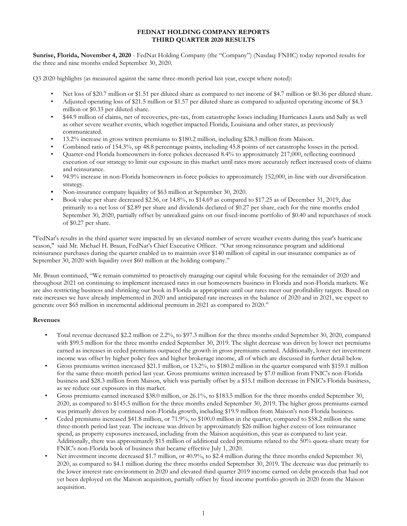#### **FEDNAT HOLDING COMPANY REPORTS THIRD QUARTER 2020 RESULTS**

**Sunrise, Florida, November 4, 2020** - FedNat Holding Company (the "Company") (Nasdaq: FNHC) today reported results for the three and nine months ended September 30, 2020.

Q3 2020 highlights (as measured against the same three-month period last year, except where noted):

- Net loss of \$20.7 million or \$1.51 per diluted share as compared to net income of \$4.7 million or \$0.36 per diluted share.
- Adjusted operating loss of \$21.5 million or \$1.57 per diluted share as compared to adjusted operating income of \$4.3 million or \$0.33 per diluted share.
- \$44.9 million of claims, net of recoveries, pre-tax, from catastrophe losses including Hurricanes Laura and Sally as well as other severe weather events, which together impacted Florida, Louisiana and other states, as previously communicated.
- 13.2% increase in gross written premiums to \$180.2 million, including \$28.3 million from Maison.
- Combined ratio of 154.3%, up 48.8 percentage points, including 45.8 points of net catastrophe losses in the period.
- Quarter-end Florida homeowners in-force policies decreased 8.4% to approximately 217,000, reflecting continued execution of our strategy to limit our exposure in this market until rates more accurately reflect increased costs of claims and reinsurance.
- 94.9% increase in non-Florida homeowners in-force policies to approximately 152,000, in-line with our diversification strategy.
- **•** Non-insurance company liquidity of \$63 million at September 30, 2020.
- Book value per share decreased \$2.56, or 14.8%, to \$14.69 as compared to \$17.25 as of December 31, 2019, due primarily to a net loss of \$2.89 per share and dividends declared of \$0.27 per share, each for the nine months ended September 30, 2020, partially offset by unrealized gains on our fixed-income portfolio of \$0.40 and repurchases of stock of \$0.27 per share.

"FedNat's results in the third quarter were impacted by an elevated number of severe weather events during this year's hurricane season," said Mr. Michael H. Braun, FedNat's Chief Executive Officer. "Our strong reinsurance program and additional reinsurance purchases during the quarter enabled us to maintain over \$140 million of capital in our insurance companies as of September 30, 2020 with liquidity over \$60 million at the holding company."

Mr. Braun continued, "We remain committed to proactively managing our capital while focusing for the remainder of 2020 and throughout 2021 on continuing to implement increased rates in our homeowners business in Florida and non-Florida markets. We are also restricting business and shrinking our book in Florida as appropriate until our rates meet our profitability targets. Based on rate increases we have already implemented in 2020 and anticipated rate increases in the balance of 2020 and in 2021, we expect to generate over \$65 million in incremental additional premium in 2021 as compared to 2020."

#### **Revenues**

- Total revenue decreased \$2.2 million or 2.2%, to \$97.3 million for the three months ended September 30, 2020, compared with \$99.5 million for the three months ended September 30, 2019. The slight decrease was driven by lower net premiums earned as increases in ceded premiums outpaced the growth in gross premiums earned. Additionally, lower net investment income was offset by higher policy fees and higher brokerage income, all of which are discussed in further detail below.
- Gross premiums written increased \$21.1 million, or 13.2%, to \$180.2 million in the quarter compared with \$159.1 million for the same three-month period last year. Gross premiums written increased by \$7.0 million from FNIC's non-Florida business and \$28.3 million from Maison, which was partially offset by a \$15.1 million decrease in FNIC's Florida business, as we reduce our exposures in this market.
- Gross premiums earned increased \$38.0 million, or 26.1%, to \$183.5 million for the three months ended September 30, 2020, as compared to \$145.5 million for the three months ended September 30, 2019. The higher gross premiums earned was primarily driven by continued non-Florida growth, including \$19.9 million from Maison's non-Florida business.
- Ceded premiums increased \$41.8 million, or 71.9%, to \$100.0 million in the quarter, compared to \$58.2 million the same three-month period last year. The increase was driven by approximately \$26 million higher excess of loss reinsurance spend, as property exposures increased, including from the Maison acquisition, this year as compared to last year. Additionally, there was approximately \$15 million of additional ceded premiums related to the 50% quota-share treaty for FNIC's non-Florida book of business that became effective July 1, 2020.
- Net investment income decreased \$1.7 million, or 40.9%, to \$2.4 million during the three months ended September 30, 2020, as compared to \$4.1 million during the three months ended September 30, 2019. The decrease was due primarily to the lower interest rate environment in 2020 and elevated third quarter 2019 income earned on debt proceeds that had not yet been deployed on the Maison acquisition, partially offset by fixed income portfolio growth in 2020 from the Maison acquisition.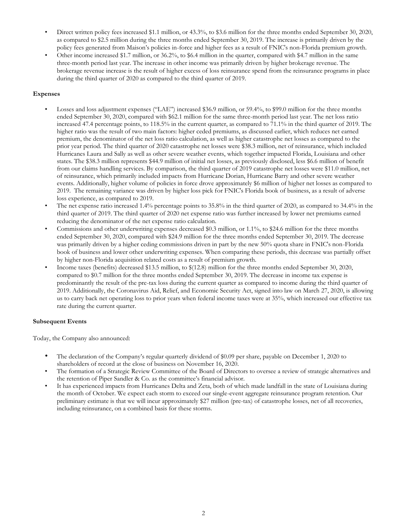- Direct written policy fees increased \$1.1 million, or 43.3%, to \$3.6 million for the three months ended September 30, 2020, as compared to \$2.5 million during the three months ended September 30, 2019. The increase is primarily driven by the policy fees generated from Maison's policies in-force and higher fees as a result of FNIC's non-Florida premium growth.
- Other income increased \$1.7 million, or 36.2%, to \$6.4 million in the quarter, compared with \$4.7 million in the same three-month period last year. The increase in other income was primarily driven by higher brokerage revenue. The brokerage revenue increase is the result of higher excess of loss reinsurance spend from the reinsurance programs in place during the third quarter of 2020 as compared to the third quarter of 2019.

#### **Expenses**

- Losses and loss adjustment expenses ("LAE") increased \$36.9 million, or 59.4%, to \$99.0 million for the three months ended September 30, 2020, compared with \$62.1 million for the same three-month period last year. The net loss ratio increased 47.4 percentage points, to 118.5% in the current quarter, as compared to 71.1% in the third quarter of 2019. The higher ratio was the result of two main factors: higher ceded premiums, as discussed earlier, which reduces net earned premium, the denominator of the net loss ratio calculation, as well as higher catastrophe net losses as compared to the prior year period. The third quarter of 2020 catastrophe net losses were \$38.3 million, net of reinsurance, which included Hurricanes Laura and Sally as well as other severe weather events, which together impacted Florida, Louisiana and other states. The \$38.3 million represents \$44.9 million of initial net losses, as previously disclosed, less \$6.6 million of benefit from our claims handling services. By comparison, the third quarter of 2019 catastrophe net losses were \$11.0 million, net of reinsurance, which primarily included impacts from Hurricane Dorian, Hurricane Barry and other severe weather events. Additionally, higher volume of policies in force drove approximately \$6 million of higher net losses as compared to 2019. The remaining variance was driven by higher loss pick for FNIC's Florida book of business, as a result of adverse loss experience, as compared to 2019.
- The net expense ratio increased 1.4% percentage points to 35.8% in the third quarter of 2020, as compared to 34.4% in the third quarter of 2019. The third quarter of 2020 net expense ratio was further increased by lower net premiums earned reducing the denominator of the net expense ratio calculation.
- Commissions and other underwriting expenses decreased \$0.3 million, or 1.1%, to \$24.6 million for the three months ended September 30, 2020, compared with \$24.9 million for the three months ended September 30, 2019. The decrease was primarily driven by a higher ceding commissions driven in part by the new 50% quota share in FNIC's non-Florida book of business and lower other underwriting expenses. When comparing these periods, this decrease was partially offset by higher non-Florida acquisition related costs as a result of premium growth.
- Income taxes (benefits) decreased \$13.5 million, to \$(12.8) million for the three months ended September 30, 2020, compared to \$0.7 million for the three months ended September 30, 2019. The decrease in income tax expense is predominantly the result of the pre-tax loss during the current quarter as compared to income during the third quarter of 2019. Additionally, the Coronavirus Aid, Relief, and Economic Security Act, signed into law on March 27, 2020, is allowing us to carry back net operating loss to prior years when federal income taxes were at 35%, which increased our effective tax rate during the current quarter.

#### **Subsequent Events**

Today, the Company also announced:

- The declaration of the Company's regular quarterly dividend of \$0.09 per share, payable on December 1, 2020 to shareholders of record at the close of business on November 16, 2020.
- The formation of a Strategic Review Committee of the Board of Directors to oversee a review of strategic alternatives and the retention of Piper Sandler & Co. as the committee's financial advisor.
- It has experienced impacts from Hurricanes Delta and Zeta, both of which made landfall in the state of Louisiana during the month of October. We expect each storm to exceed our single-event aggregate reinsurance program retention. Our preliminary estimate is that we will incur approximately \$27 million (pre-tax) of catastrophe losses, net of all recoveries, including reinsurance, on a combined basis for these storms.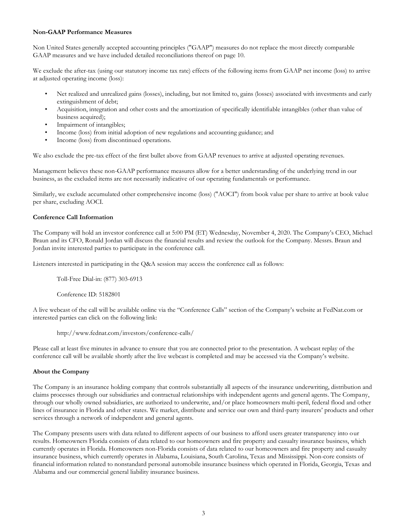#### **Non-GAAP Performance Measures**

Non United States generally accepted accounting principles ("GAAP") measures do not replace the most directly comparable GAAP measures and we have included detailed reconciliations thereof on page 10.

We exclude the after-tax (using our statutory income tax rate) effects of the following items from GAAP net income (loss) to arrive at adjusted operating income (loss):

- Net realized and unrealized gains (losses), including, but not limited to, gains (losses) associated with investments and early extinguishment of debt;
- Acquisition, integration and other costs and the amortization of specifically identifiable intangibles (other than value of business acquired);
- Impairment of intangibles;
- Income (loss) from initial adoption of new regulations and accounting guidance; and
- Income (loss) from discontinued operations.

We also exclude the pre-tax effect of the first bullet above from GAAP revenues to arrive at adjusted operating revenues.

Management believes these non-GAAP performance measures allow for a better understanding of the underlying trend in our business, as the excluded items are not necessarily indicative of our operating fundamentals or performance.

Similarly, we exclude accumulated other comprehensive income (loss) ("AOCI") from book value per share to arrive at book value per share, excluding AOCI.

#### **Conference Call Information**

The Company will hold an investor conference call at 5:00 PM (ET) Wednesday, November 4, 2020. The Company's CEO, Michael Braun and its CFO, Ronald Jordan will discuss the financial results and review the outlook for the Company. Messrs. Braun and Jordan invite interested parties to participate in the conference call.

Listeners interested in participating in the Q&A session may access the conference call as follows:

Toll-Free Dial-in: (877) 303-6913

Conference ID: 5182801

A live webcast of the call will be available online via the "Conference Calls" section of the Company's website at FedNat.com or interested parties can click on the following link:

http://www.fednat.com/investors/conference-calls/

Please call at least five minutes in advance to ensure that you are connected prior to the presentation. A webcast replay of the conference call will be available shortly after the live webcast is completed and may be accessed via the Company's website.

#### **About the Company**

The Company is an insurance holding company that controls substantially all aspects of the insurance underwriting, distribution and claims processes through our subsidiaries and contractual relationships with independent agents and general agents. The Company, through our wholly owned subsidiaries, are authorized to underwrite, and/or place homeowners multi-peril, federal flood and other lines of insurance in Florida and other states. We market, distribute and service our own and third-party insurers' products and other services through a network of independent and general agents.

The Company presents users with data related to different aspects of our business to afford users greater transparency into our results. Homeowners Florida consists of data related to our homeowners and fire property and casualty insurance business, which currently operates in Florida. Homeowners non-Florida consists of data related to our homeowners and fire property and casualty insurance business, which currently operates in Alabama, Louisiana, South Carolina, Texas and Mississippi. Non-core consists of financial information related to nonstandard personal automobile insurance business which operated in Florida, Georgia, Texas and Alabama and our commercial general liability insurance business.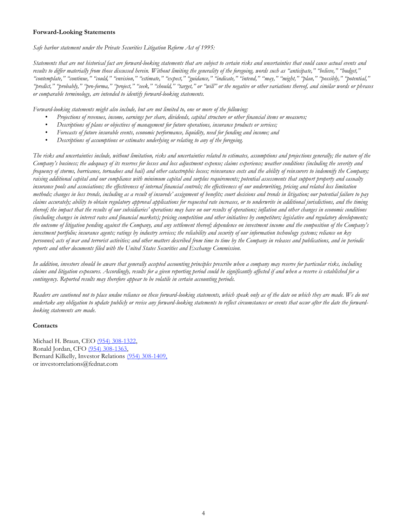#### **Forward-Looking Statements**

*Safe harbor statement under the Private Securities Litigation Reform Act of 1995:*

*Statements that are not historical fact are forward-looking statements that are subject to certain risks and uncertainties that could cause actual events and results to differ materially from those discussed herein. Without limiting the generality of the foregoing, words such as "anticipate," "believe," "budget," "contemplate," "continue," "could," "envision," "estimate," "expect," "guidance," "indicate," "intend," "may," "might," "plan," "possibly," "potential," "predict," "probably," "pro-forma," "project," "seek," "should," "target," or "will" or the negative or other variations thereof, and similar words or phrases or comparable terminology, are intended to identify forward-looking statements.*

*Forward-looking statements might also include, but are not limited to, one or more of the following:*

- *• Projections of revenues, income, earnings per share, dividends, capital structure or other financial items or measures;*
- *• Descriptions of plans or objectives of management for future operations, insurance products or services;*
- *• Forecasts of future insurable events, economic performance, liquidity, need for funding and income; and*
- *• Descriptions of assumptions or estimates underlying or relating to any of the foregoing.*

*The risks and uncertainties include, without limitation, risks and uncertainties related to estimates, assumptions and projections generally; the nature of the Company's business; the adequacy of its reserves for losses and loss adjustment expense; claims experience; weather conditions (including the severity and frequency of storms, hurricanes, tornadoes and hail) and other catastrophic losses; reinsurance costs and the ability of reinsurers to indemnify the Company; raising additional capital and our compliance with minimum capital and surplus requirements; potential assessments that support property and casualty insurance pools and associations; the effectiveness of internal financial controls; the effectiveness of our underwriting, pricing and related loss limitation methods; changes in loss trends, including as a result of insureds' assignment of benefits; court decisions and trends in litigation; our potential failure to pay claims accurately; ability to obtain regulatory approval applications for requested rate increases, or to underwrite in additional jurisdictions, and the timing thereof; the impact that the results of our subsidiaries' operations may have on our results of operations; inflation and other changes in economic conditions*  (including changes in interest rates and financial markets); pricing competition and other initiatives by competitors; legislative and regulatory developments; *the outcome of litigation pending against the Company, and any settlement thereof; dependence on investment income and the composition of the Company's investment portfolio; insurance agents; ratings by industry services; the reliability and security of our information technology systems; reliance on key personnel; acts of war and terrorist activities; and other matters described from time to time by the Company in releases and publications, and in periodic reports and other documents filed with the United States Securities and Exchange Commission.*

*In addition, investors should be aware that generally accepted accounting principles prescribe when a company may reserve for particular risks, including claims and litigation exposures. Accordingly, results for a given reporting period could be significantly affected if and when a reserve is established for a contingency. Reported results may therefore appear to be volatile in certain accounting periods.*

*Readers are cautioned not to place undue reliance on these forward-looking statements, which speak only as of the date on which they are made. We do not undertake any obligation to update publicly or revise any forward-looking statements to reflect circumstances or events that occur after the date the forwardlooking statements are made.*

#### **Contacts**

Michael H. Braun, CEO (954) 308-1322, Ronald Jordan, CFO (954) 308-1363, Bernard Kilkelly, Investor Relations (954) 308-1409, or investorrelations@fednat.com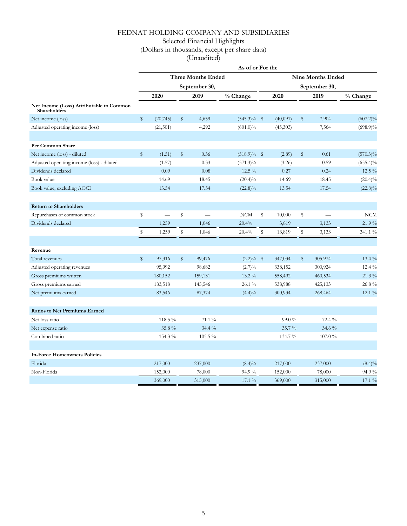## Selected Financial Highlights

(Dollars in thousands, except per share data)

(Unaudited)

|                                                          |                         |                          |    |                           | As of or For the |             |          |                          |             |
|----------------------------------------------------------|-------------------------|--------------------------|----|---------------------------|------------------|-------------|----------|--------------------------|-------------|
|                                                          |                         |                          |    | <b>Three Months Ended</b> |                  |             |          | <b>Nine Months Ended</b> |             |
|                                                          |                         |                          |    | September 30,             |                  |             |          | September 30,            |             |
|                                                          |                         | 2020                     |    | 2019                      | % Change         |             | 2020     | 2019                     | % Change    |
| Net Income (Loss) Attributable to Common<br>Shareholders |                         |                          |    |                           |                  |             |          |                          |             |
| Net income (loss)                                        | $\sqrt[6]{\frac{1}{2}}$ | (20, 745)                | \$ | 4,659                     | $(545.3)\%$ \$   |             | (40,091) | \$<br>7,904              | $(607.2)\%$ |
| Adjusted operating income (loss)                         |                         | (21,501)                 |    | 4,292                     | $(601.0)\%$      |             | (45,303) | 7,564                    | $(698.9)\%$ |
|                                                          |                         |                          |    |                           |                  |             |          |                          |             |
| Per Common Share                                         |                         |                          |    |                           |                  |             |          |                          |             |
| Net income (loss) - diluted                              | \$                      | (1.51)                   | \$ | 0.36                      | $(518.9)\%$ \$   |             | (2.89)   | \$<br>0.61               | $(570.3)\%$ |
| Adjusted operating income (loss) - diluted               |                         | (1.57)                   |    | 0.33                      | $(571.3)\%$      |             | (3.26)   | 0.59                     | $(655.4)\%$ |
| Dividends declared                                       |                         | 0.09                     |    | 0.08                      | $12.5\%$         |             | 0.27     | 0.24                     | 12.5 %      |
| Book value                                               |                         | 14.69                    |    | 18.45                     | $(20.4)\%$       |             | 14.69    | 18.45                    | $(20.4)\%$  |
| Book value, excluding AOCI                               |                         | 13.54                    |    | 17.54                     | $(22.8)\%$       |             | 13.54    | 17.54                    | $(22.8)\%$  |
|                                                          |                         |                          |    |                           |                  |             |          |                          |             |
| <b>Return to Shareholders</b>                            |                         |                          |    |                           |                  |             |          |                          |             |
| Repurchases of common stock                              | \$                      | $\overline{\phantom{0}}$ | \$ |                           | <b>NCM</b>       | $\mathbb S$ | 10,000   | \$                       | <b>NCM</b>  |
| Dividends declared                                       |                         | 1,259                    |    | 1,046                     | 20.4%            |             | 3,819    | 3,133                    | 21.9 %      |
|                                                          | \$                      | 1,259                    | S  | 1,046                     | 20.4%            | \$          | 13,819   | \$<br>3,133              | 341.1 %     |
|                                                          |                         |                          |    |                           |                  |             |          |                          |             |
| Revenue                                                  |                         |                          |    |                           |                  |             |          |                          |             |
| Total revenues                                           | \$                      | 97,316                   | \$ | 99,476                    | $(2.2)\%$ \$     |             | 347,034  | \$<br>305,974            | 13.4 %      |
| Adjusted operating revenues                              |                         | 95,992                   |    | 98,682                    | $(2.7)\%$        |             | 338,152  | 300,924                  | 12.4 %      |
| Gross premiums written                                   |                         | 180,152                  |    | 159,131                   | $13.2\%$         |             | 558,492  | 460,534                  | $21.3\%$    |
| Gross premiums earned                                    |                         | 183,518                  |    | 145,546                   | 26.1 %           |             | 538,988  | 425,133                  | 26.8 %      |
| Net premiums earned                                      |                         | 83,546                   |    | 87,374                    | $(4.4)\%$        |             | 300,934  | 268,464                  | 12.1 %      |
|                                                          |                         |                          |    |                           |                  |             |          |                          |             |
| <b>Ratios to Net Premiums Earned</b>                     |                         |                          |    |                           |                  |             |          |                          |             |
| Net loss ratio                                           |                         | 118.5%                   |    | $71.1\%$                  |                  |             | 99.0%    | $72.4\%$                 |             |
| Net expense ratio                                        |                         | 35.8%                    |    | 34.4%                     |                  |             | 35.7%    | 34.6 %                   |             |
| Combined ratio                                           |                         | 154.3 %                  |    | 105.5%                    |                  |             | 134.7 %  | 107.0%                   |             |
|                                                          |                         |                          |    |                           |                  |             |          |                          |             |
| <b>In-Force Homeowners Policies</b>                      |                         |                          |    |                           |                  |             |          |                          |             |
| Florida                                                  |                         | 217,000                  |    | 237,000                   | $(8.4)\%$        |             | 217,000  | 237,000                  | $(8.4)\%$   |
| Non-Florida                                              |                         | 152,000                  |    | 78,000                    | 94.9%            |             | 152,000  | 78,000                   | 94.9 %      |
|                                                          |                         | 369,000                  |    | 315,000                   | $17.1\%$         |             | 369,000  | 315,000                  | 17.1 %      |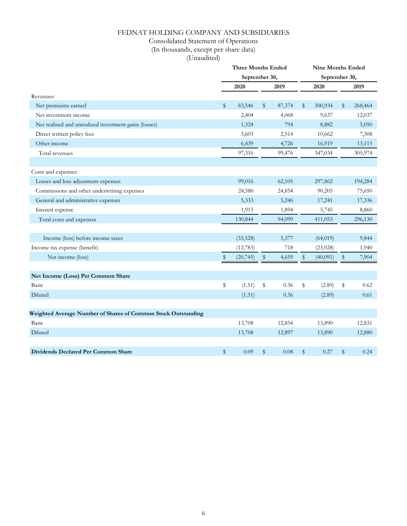### Consolidated Statement of Operations (In thousands, except per share data)

|                                                               | (Unaudited) |                           |              |                          |              |         |
|---------------------------------------------------------------|-------------|---------------------------|--------------|--------------------------|--------------|---------|
|                                                               |             | <b>Three Months Ended</b> |              | <b>Nine Months Ended</b> |              |         |
|                                                               |             | September 30,             |              | September 30,            |              |         |
|                                                               |             | 2020                      | 2019         | 2020                     |              | 2019    |
| Revenues:                                                     |             |                           |              |                          |              |         |
| Net premiums earned                                           | \$          | 83,546                    | \$<br>87,374 | \$<br>300,934            | $\mathbb{S}$ | 268,464 |
| Net investment income                                         |             | 2,404                     | 4,068        | 9,637                    |              | 12,037  |
| Net realized and unrealized investment gains (losses)         |             | 1,324                     | 794          | 8,882                    |              | 5,050   |
| Direct written policy fees                                    |             | 3,603                     | 2,514        | 10,662                   |              | 7,308   |
| Other income                                                  |             | 6,439                     | 4,726        | 16,919                   |              | 13,115  |
| Total revenues                                                |             | 97,316                    | 99,476       | 347,034                  |              | 305,974 |
|                                                               |             |                           |              |                          |              |         |
| Costs and expenses:                                           |             |                           |              |                          |              |         |
| Losses and loss adjustment expenses                           |             | 99,016                    | 62,105       | 297,862                  |              | 194,284 |
| Commissions and other underwriting expenses                   |             | 24,580                    | 24,854       | 90,205                   |              | 75,650  |
| General and administrative expenses                           |             | 5,333                     | 5,246        | 17,241                   |              | 17,336  |
| Interest expense                                              |             | 1,915                     | 1,894        | 5,745                    |              | 8,860   |
| Total costs and expenses                                      |             | 130,844                   | 94,099       | 411,053                  |              | 296,130 |
|                                                               |             |                           |              |                          |              |         |
| Income (loss) before income taxes                             |             | (33,528)                  | 5,377        | (64, 019)                |              | 9,844   |
| Income tax expense (benefit)                                  |             | (12,783)                  | 718          | (23,928)                 |              | 1,940   |
| Net income (loss)                                             | \$          | (20, 745)                 | \$<br>4,659  | \$<br>(40,091)           | \$           | 7,904   |
|                                                               |             |                           |              |                          |              |         |
| Net Income (Loss) Per Common Share                            |             |                           |              |                          |              |         |
| Basic                                                         | \$          | (1.51)                    | \$<br>0.36   | \$<br>(2.89)             | \$           | 0.62    |
| Diluted                                                       |             | (1.51)                    | 0.36         | (2.89)                   |              | 0.61    |
|                                                               |             |                           |              |                          |              |         |
| Weighted Average Number of Shares of Common Stock Outstanding |             |                           |              |                          |              |         |
| Basic                                                         |             | 13,708                    | 12,854       | 13,890                   |              | 12,831  |
| Diluted                                                       |             | 13,708                    | 12,897       | 13,890                   |              | 12,880  |
|                                                               |             |                           |              |                          |              |         |

**Dividends Declared Per Common Share \$** 0.09 \$ 0.08 \$ 0.27 \$ 0.24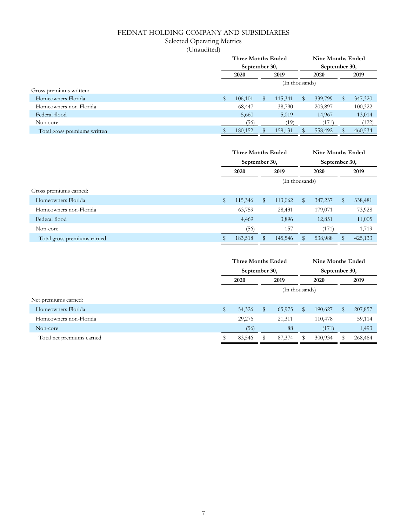#### Selected Operating Metrics

(Unaudited)

|                              | <b>Three Months Ended</b> |  |                |  | <b>Nine Months Ended</b> |      |         |  |
|------------------------------|---------------------------|--|----------------|--|--------------------------|------|---------|--|
|                              | September 30,             |  |                |  | September 30,            |      |         |  |
|                              | 2020<br>2019              |  |                |  | 2020                     | 2019 |         |  |
|                              |                           |  | (In thousands) |  |                          |      |         |  |
| Gross premiums written:      |                           |  |                |  |                          |      |         |  |
| Homeowners Florida           | 106,101                   |  | 115,341        |  | 339,799                  |      | 347,320 |  |
| Homeowners non-Florida       | 68,447                    |  | 38,790         |  | 203,897                  |      | 100,322 |  |
| Federal flood                | 5.660                     |  | 5,019          |  | 14,967                   |      | 13,014  |  |
| Non-core                     | (56)                      |  | (19)           |  | (171)                    |      | (122)   |  |
| Total gross premiums written | 180,152                   |  | 159,131        |  | 558,492                  |      | 460,534 |  |

|                             | <b>Three Months Ended</b> |      |         | Nine Months Ended |                |   |         |  |
|-----------------------------|---------------------------|------|---------|-------------------|----------------|---|---------|--|
|                             | September 30,             |      |         |                   | September 30,  |   |         |  |
|                             | 2020                      | 2019 |         | 2020              |                |   | 2019    |  |
|                             |                           |      |         |                   | (In thousands) |   |         |  |
| Gross premiums earned:      |                           |      |         |                   |                |   |         |  |
| Homeowners Florida          | \$<br>115,346             | S    | 113,062 | S.                | 347,237        | Я | 338,481 |  |
| Homeowners non-Florida      | 63,759                    |      | 28,431  |                   | 179,071        |   | 73,928  |  |
| Federal flood               | 4,469                     |      | 3,896   |                   | 12,851         |   | 11,005  |  |
| Non-core                    | (56)                      |      | 157     |                   | (171)          |   | 1,719   |  |
| Total gross premiums earned | 183,518                   | S    | 145,546 |                   | 538,988        |   | 425,133 |  |

|                           | <b>Three Months Ended</b> |        |   |                | <b>Nine Months Ended</b> |               |   |         |
|---------------------------|---------------------------|--------|---|----------------|--------------------------|---------------|---|---------|
|                           | September 30,             |        |   |                |                          | September 30, |   |         |
|                           | 2020                      |        |   | 2019           |                          | 2020          |   | 2019    |
|                           |                           |        |   | (In thousands) |                          |               |   |         |
| Net premiums earned:      |                           |        |   |                |                          |               |   |         |
| Homeowners Florida        | S.                        | 54,326 | S | 65,975         | S                        | 190,627       | S | 207,857 |
| Homeowners non-Florida    |                           | 29,276 |   | 21,311         |                          | 110,478       |   | 59,114  |
| Non-core                  |                           | (56)   |   | 88             |                          | (171)         |   | 1,493   |
| Total net premiums earned |                           | 83,546 |   | 87,374         | S                        | 300,934       |   | 268,464 |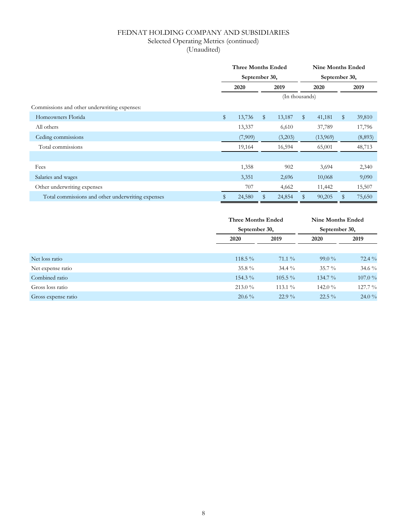#### Selected Operating Metrics (continued)

(Unaudited)

|                                                   | <b>Three Months Ended</b> |         | <b>Nine Months Ended</b> |                |              |               |    |         |
|---------------------------------------------------|---------------------------|---------|--------------------------|----------------|--------------|---------------|----|---------|
|                                                   | September 30,             |         |                          |                |              | September 30, |    |         |
|                                                   | 2020                      |         |                          | 2019           |              | 2020          |    | 2019    |
|                                                   |                           |         |                          | (In thousands) |              |               |    |         |
| Commissions and other underwriting expenses:      |                           |         |                          |                |              |               |    |         |
| Homeowners Florida                                | \$                        | 13,736  | $\mathbb{S}$             | 13,187         | $\mathbb{S}$ | 41,181        | \$ | 39,810  |
| All others                                        |                           | 13,337  |                          | 6,610          |              | 37,789        |    | 17,796  |
| Ceding commissions                                |                           | (7,909) |                          | (3,203)        |              | (13,969)      |    | (8,893) |
| Total commissions                                 |                           | 19,164  |                          | 16,594         |              | 65,001        |    | 48,713  |
|                                                   |                           |         |                          |                |              |               |    |         |
| Fees                                              |                           | 1,358   |                          | 902            |              | 3,694         |    | 2,340   |
| Salaries and wages                                |                           | 3,351   |                          | 2,696          |              | 10,068        |    | 9,090   |
| Other underwriting expenses                       |                           | 707     |                          | 4,662          |              | 11,442        |    | 15,507  |
| Total commissions and other underwriting expenses | \$                        | 24,580  | \$                       | 24,854         | S            | 90,205        |    | 75,650  |

|                     |               | <b>Three Months Ended</b> |               | <b>Nine Months Ended</b> |  |  |
|---------------------|---------------|---------------------------|---------------|--------------------------|--|--|
|                     | September 30, |                           | September 30, |                          |  |  |
|                     | 2020          | 2019                      | 2020          | 2019                     |  |  |
|                     |               |                           |               |                          |  |  |
| Net loss ratio      | $118.5\%$     | $71.1\%$                  | $99.0\%$      | $72.4\%$                 |  |  |
| Net expense ratio   | 35.8 $%$      | $34.4\%$                  | $35.7\%$      | 34.6 $\%$                |  |  |
| Combined ratio      | $154.3\%$     | $105.5\%$                 | 134.7 %       | 107.0 %                  |  |  |
| Gross loss ratio    | $213.0\%$     | 113.1 $\%$                | 142.0 $\%$    | 127.7 %                  |  |  |
| Gross expense ratio | $20.6\%$      | $22.9\%$                  | $22.5\%$      | $24.0\%$                 |  |  |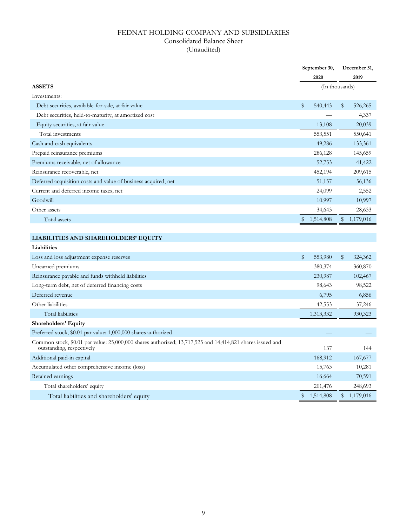## FEDNAT HOLDING COMPANY AND SUBSIDIARIES Consolidated Balance Sheet (Unaudited)

|                                                                                                                                        |              | September 30,  | December 31,    |
|----------------------------------------------------------------------------------------------------------------------------------------|--------------|----------------|-----------------|
|                                                                                                                                        |              | 2020           | 2019            |
| <b>ASSETS</b>                                                                                                                          |              | (In thousands) |                 |
| Investments:                                                                                                                           |              |                |                 |
| Debt securities, available-for-sale, at fair value                                                                                     | $\mathbb{S}$ | 540,443        | \$<br>526,265   |
| Debt securities, held-to-maturity, at amortized cost                                                                                   |              |                | 4,337           |
| Equity securities, at fair value                                                                                                       |              | 13,108         | 20,039          |
| Total investments                                                                                                                      |              | 553,551        | 550,641         |
| Cash and cash equivalents                                                                                                              |              | 49,286         | 133,361         |
| Prepaid reinsurance premiums                                                                                                           |              | 286,128        | 145,659         |
| Premiums receivable, net of allowance                                                                                                  |              | 52,753         | 41,422          |
| Reinsurance recoverable, net                                                                                                           |              | 452,194        | 209,615         |
| Deferred acquisition costs and value of business acquired, net                                                                         |              | 51,157         | 56,136          |
| Current and deferred income taxes, net                                                                                                 |              | 24,099         | 2,552           |
| Goodwill                                                                                                                               |              | 10,997         | 10,997          |
| Other assets                                                                                                                           |              | 34,643         | 28,633          |
| Total assets                                                                                                                           | \$           | 1,514,808      | \$<br>1,179,016 |
|                                                                                                                                        |              |                |                 |
| LIABILITIES AND SHAREHOLDERS' EQUITY                                                                                                   |              |                |                 |
| Liabilities                                                                                                                            |              |                |                 |
| Loss and loss adjustment expense reserves                                                                                              | \$           | 553,980        | \$<br>324,362   |
| Unearned premiums                                                                                                                      |              | 380,374        | 360,870         |
| Reinsurance payable and funds withheld liabilities                                                                                     |              | 230,987        | 102,467         |
| Long-term debt, net of deferred financing costs                                                                                        |              | 98,643         | 98,522          |
| Deferred revenue                                                                                                                       |              | 6,795          | 6,856           |
| Other liabilities                                                                                                                      |              | 42,553         | 37,246          |
| <b>Total liabilities</b>                                                                                                               |              | 1,313,332      | 930,323         |
| <b>Shareholders' Equity</b>                                                                                                            |              |                |                 |
| Preferred stock, \$0.01 par value: 1,000,000 shares authorized                                                                         |              |                |                 |
| Common stock, \$0.01 par value: 25,000,000 shares authorized; 13,717,525 and 14,414,821 shares issued and<br>outstanding, respectively |              | 137            | 144             |
| Additional paid-in capital                                                                                                             |              | 168,912        | 167,677         |
| Accumulated other comprehensive income (loss)                                                                                          |              | 15,763         | 10,281          |
| Retained earnings                                                                                                                      |              | 16,664         | 70,591          |
| Total shareholders' equity                                                                                                             |              | 201,476        | 248,693         |
| Total liabilities and shareholders' equity                                                                                             | \$           | 1,514,808      | \$<br>1,179,016 |